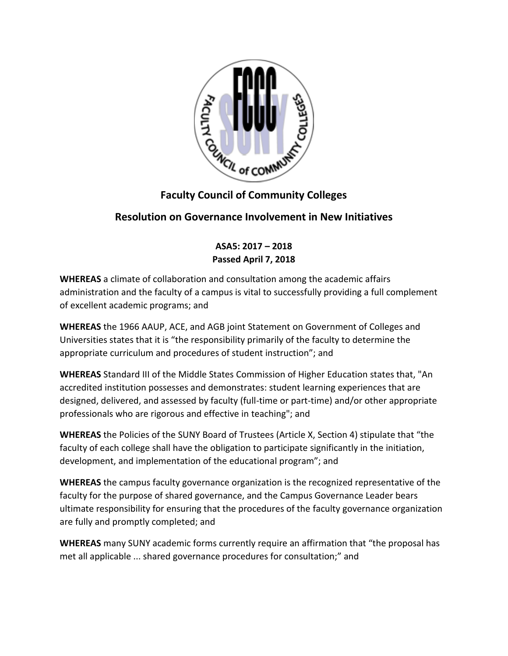

## **Faculty Council of Community Colleges**

## **Resolution on Governance Involvement in New Initiatives**

**ASA5: 2017 – 2018 Passed April 7, 2018**

**WHEREAS** a climate of collaboration and consultation among the academic affairs administration and the faculty of a campus is vital to successfully providing a full complement of excellent academic programs; and

**WHEREAS** the 1966 AAUP, ACE, and AGB joint Statement on Government of Colleges and Universities states that it is "the responsibility primarily of the faculty to determine the appropriate curriculum and procedures of student instruction"; and

**WHEREAS** Standard III of the Middle States Commission of Higher Education states that, "An accredited institution possesses and demonstrates: student learning experiences that are designed, delivered, and assessed by faculty (full-time or part-time) and/or other appropriate professionals who are rigorous and effective in teaching"; and

**WHEREAS** the Policies of the SUNY Board of Trustees (Article X, Section 4) stipulate that "the faculty of each college shall have the obligation to participate significantly in the initiation, development, and implementation of the educational program"; and

**WHEREAS** the campus faculty governance organization is the recognized representative of the faculty for the purpose of shared governance, and the Campus Governance Leader bears ultimate responsibility for ensuring that the procedures of the faculty governance organization are fully and promptly completed; and

**WHEREAS** many SUNY academic forms currently require an affirmation that "the proposal has met all applicable ... shared governance procedures for consultation;" and